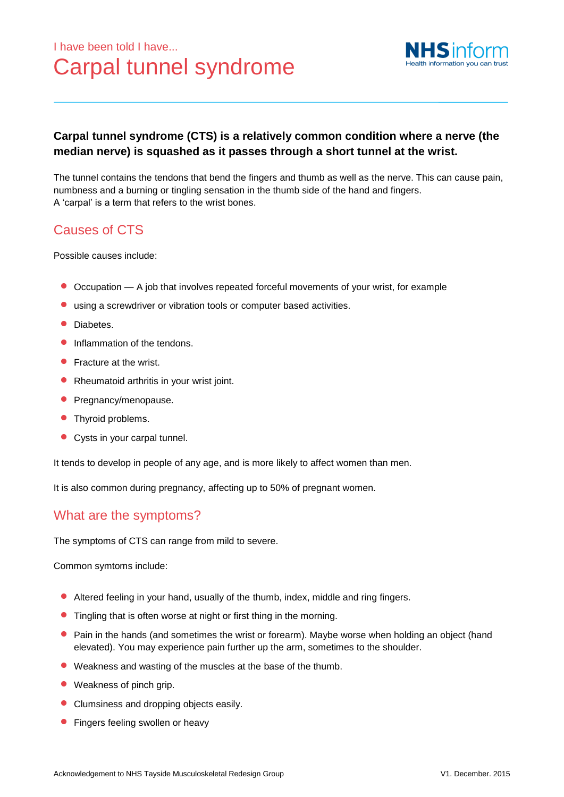# I have been told I have... Carpal tunnel syndrome



#### **Carpal tunnel syndrome (CTS) is a relatively common condition where a nerve (the median nerve) is squashed as it passes through a short tunnel at the wrist.**

The tunnel contains the tendons that bend the fingers and thumb as well as the nerve. This can cause pain, numbness and a burning or tingling sensation in the thumb side of the hand and fingers. A 'carpal' is a term that refers to the wrist bones.

## Causes of CTS

Possible causes include:

- Occupation <sup>A</sup> job that involves repeated forceful movements of your wrist, for example
- using a screwdriver or vibration tools or computer based activities.
- Diabetes.
- Inflammation of the tendons.
- **•** Fracture at the wrist.
- Rheumatoid arthritis in your wrist joint.
- **•** Pregnancy/menopause.
- **•** Thyroid problems.
- Cysts in your carpal tunnel.

It tends to develop in people of any age, and is more likely to affect women than men.

It is also common during pregnancy, affecting up to 50% of pregnant women.

## What are the symptoms?

The symptoms of CTS can range from mild to severe.

Common symtoms include:

- Altered feeling in your hand, usually of the thumb, index, middle and ring fingers.
- **•** Tingling that is often worse at night or first thing in the morning.
- **•** Pain in the hands (and sometimes the wrist or forearm). Maybe worse when holding an object (hand elevated). You may experience pain further up the arm, sometimes to the shoulder.
- Weakness and wasting of the muscles at the base of the thumb.
- Weakness of pinch grip.
- Clumsiness and dropping objects easily.
- **•** Fingers feeling swollen or heavy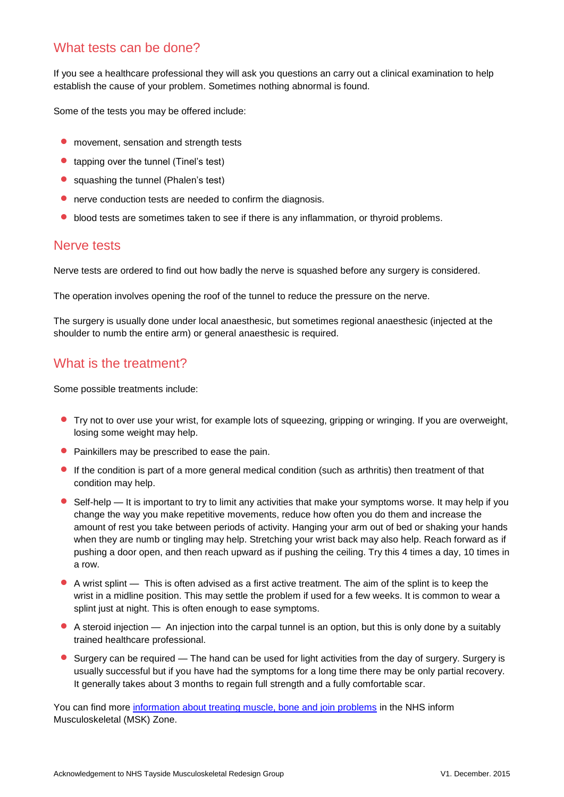#### What tests can be done?

If you see a healthcare professional they will ask you questions an carry out a clinical examination to help establish the cause of your problem. Sometimes nothing abnormal is found.

Some of the tests you may be offered include:

- **•** movement, sensation and strength tests
- tapping over the tunnel (Tinel's test)
- squashing the tunnel (Phalen's test)
- nerve conduction tests are needed to confirm the diagnosis.
- **•** blood tests are sometimes taken to see if there is any inflammation, or thyroid problems.

#### Nerve tests

Nerve tests are ordered to find out how badly the nerve is squashed before any surgery is considered.

The operation involves opening the roof of the tunnel to reduce the pressure on the nerve.

The surgery is usually done under local anaesthesic, but sometimes regional anaesthesic (injected at the shoulder to numb the entire arm) or general anaesthesic is required.

### What is the treatment?

Some possible treatments include:

- Try not to over use your wrist, for example lots of squeezing, gripping or wringing. If you are overweight, losing some weight may help.
- Painkillers may be prescribed to ease the pain.
- If the condition is part of a more general medical condition (such as arthritis) then treatment of that condition may help.
- Self-help It is important to try to limit any activities that make your symptoms worse. It may help if you change the way you make repetitive movements, reduce how often you do them and increase the amount of rest you take between periods of activity. Hanging your arm out of bed or shaking your hands when they are numb or tingling may help. Stretching your wrist back may also help. Reach forward as if pushing a door open, and then reach upward as if pushing the ceiling. Try this 4 times a day, 10 times in a row.
- A wrist splint This is often advised as a first active treatment. The aim of the splint is to keep the wrist in a midline position. This may settle the problem if used for a few weeks. It is common to wear a splint just at night. This is often enough to ease symptoms.
- A steroid injection An injection into the carpal tunnel is an option, but this is only done by a suitably trained healthcare professional.
- Surgery can be required The hand can be used for light activities from the day of surgery. Surgery is usually successful but if you have had the symptoms for a long time there may be only partial recovery. It generally takes about 3 months to regain full strength and a fully comfortable scar.

You can find more information [about treating muscle, bone and join problems](http://www.nhsinform.co.uk/MSK/treatment) in the NHS inform Musculoskeletal (MSK) Zone.